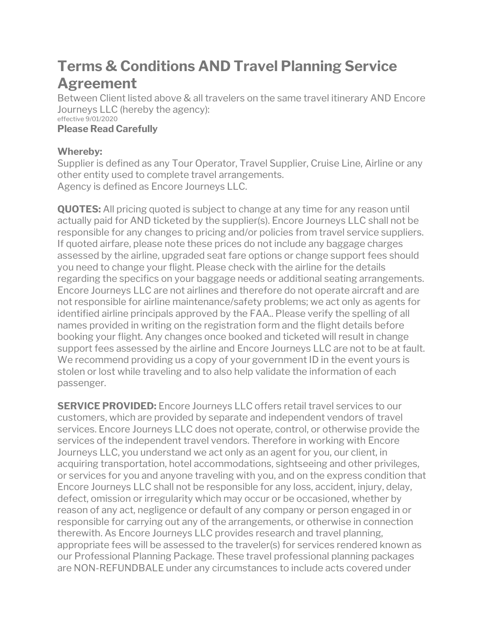## **Terms & Conditions AND Travel Planning Service Agreement**

Between Client listed above & all travelers on the same travel itinerary AND Encore Journeys LLC (hereby the agency): effective 9/01/2020

## **Please Read Carefully**

## **Whereby:**

Supplier is defined as any Tour Operator, Travel Supplier, Cruise Line, Airline or any other entity used to complete travel arrangements. Agency is defined as Encore Journeys LLC.

**QUOTES:** All pricing quoted is subject to change at any time for any reason until actually paid for AND ticketed by the supplier(s). Encore Journeys LLC shall not be responsible for any changes to pricing and/or policies from travel service suppliers. If quoted airfare, please note these prices do not include any baggage charges assessed by the airline, upgraded seat fare options or change support fees should you need to change your flight. Please check with the airline for the details regarding the specifics on your baggage needs or additional seating arrangements. Encore Journeys LLC are not airlines and therefore do not operate aircraft and are not responsible for airline maintenance/safety problems; we act only as agents for identified airline principals approved by the FAA.. Please verify the spelling of all names provided in writing on the registration form and the flight details before booking your flight. Any changes once booked and ticketed will result in change support fees assessed by the airline and Encore Journeys LLC are not to be at fault. We recommend providing us a copy of your government ID in the event yours is stolen or lost while traveling and to also help validate the information of each passenger.

**SERVICE PROVIDED:** Encore Journeys LLC offers retail travel services to our customers, which are provided by separate and independent vendors of travel services. Encore Journeys LLC does not operate, control, or otherwise provide the services of the independent travel vendors. Therefore in working with Encore Journeys LLC, you understand we act only as an agent for you, our client, in acquiring transportation, hotel accommodations, sightseeing and other privileges, or services for you and anyone traveling with you, and on the express condition that Encore Journeys LLC shall not be responsible for any loss, accident, injury, delay, defect, omission or irregularity which may occur or be occasioned, whether by reason of any act, negligence or default of any company or person engaged in or responsible for carrying out any of the arrangements, or otherwise in connection therewith. As Encore Journeys LLC provides research and travel planning, appropriate fees will be assessed to the traveler(s) for services rendered known as our Professional Planning Package. These travel professional planning packages are NON-REFUNDBALE under any circumstances to include acts covered under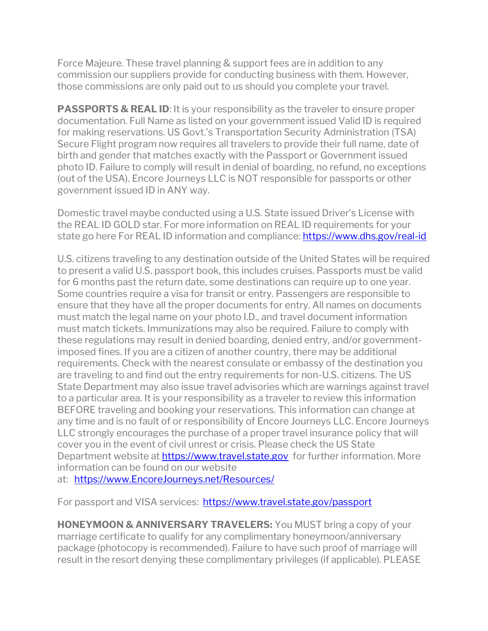Force Majeure. These travel planning & support fees are in addition to any commission our suppliers provide for conducting business with them. However, those commissions are only paid out to us should you complete your travel.

**PASSPORTS & REAL ID:** It is your responsibility as the traveler to ensure proper documentation. Full Name as listed on your government issued Valid ID is required for making reservations. US Govt.'s Transportation Security Administration (TSA) Secure Flight program now requires all travelers to provide their full name, date of birth and gender that matches exactly with the Passport or Government issued photo ID. Failure to comply will result in denial of boarding, no refund, no exceptions (out of the USA). Encore Journeys LLC is NOT responsible for passports or other government issued ID in ANY way.

Domestic travel maybe conducted using a U.S. State issued Driver's License with the REAL ID GOLD star. For more information on REAL ID requirements for your state go here For REAL ID information and compliance: <https://www.dhs.gov/real-id>

U.S. citizens traveling to any destination outside of the United States will be required to present a valid U.S. passport book, this includes cruises. Passports must be valid for 6 months past the return date, some destinations can require up to one year. Some countries require a visa for transit or entry. Passengers are responsible to ensure that they have all the proper documents for entry. All names on documents must match the legal name on your photo I.D., and travel document information must match tickets. Immunizations may also be required. Failure to comply with these regulations may result in denied boarding, denied entry, and/or governmentimposed fines. If you are a citizen of another country, there may be additional requirements. Check with the nearest consulate or embassy of the destination you are traveling to and find out the entry requirements for non-U.S. citizens. The US State Department may also issue travel advisories which are warnings against travel to a particular area. It is your responsibility as a traveler to review this information BEFORE traveling and booking your reservations. This information can change at any time and is no fault of or responsibility of Encore Journeys LLC. Encore Journeys LLC strongly encourages the purchase of a proper travel insurance policy that will cover you in the event of civil unrest or crisis. Please check the US State Department website at [https://www.travel.state.gov](https://www.travel.state.gov/) for further information. More information can be found on our website at: [https://www.EncoreJourneys.net/Resources/](https://www.encorejourneys.net/Resources/)

For passport and VISA services:<https://www.travel.state.gov/passport>

**HONEYMOON & ANNIVERSARY TRAVELERS:** You MUST bring a copy of your marriage certificate to qualify for any complimentary honeymoon/anniversary package (photocopy is recommended). Failure to have such proof of marriage will result in the resort denying these complimentary privileges (if applicable). PLEASE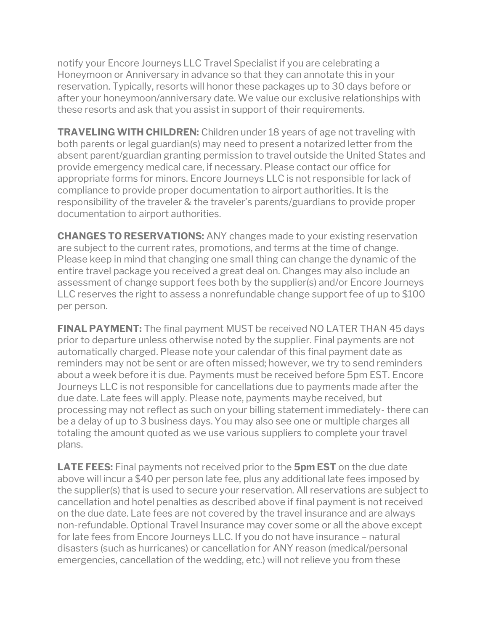notify your Encore Journeys LLC Travel Specialist if you are celebrating a Honeymoon or Anniversary in advance so that they can annotate this in your reservation. Typically, resorts will honor these packages up to 30 days before or after your honeymoon/anniversary date. We value our exclusive relationships with these resorts and ask that you assist in support of their requirements.

**TRAVELING WITH CHILDREN:** Children under 18 years of age not traveling with both parents or legal guardian(s) may need to present a notarized letter from the absent parent/guardian granting permission to travel outside the United States and provide emergency medical care, if necessary. Please contact our office for appropriate forms for minors. Encore Journeys LLC is not responsible for lack of compliance to provide proper documentation to airport authorities. It is the responsibility of the traveler & the traveler's parents/guardians to provide proper documentation to airport authorities.

**CHANGES TO RESERVATIONS:** ANY changes made to your existing reservation are subject to the current rates, promotions, and terms at the time of change. Please keep in mind that changing one small thing can change the dynamic of the entire travel package you received a great deal on. Changes may also include an assessment of change support fees both by the supplier(s) and/or Encore Journeys LLC reserves the right to assess a nonrefundable change support fee of up to \$100 per person.

**FINAL PAYMENT:** The final payment MUST be received NO LATER THAN 45 days prior to departure unless otherwise noted by the supplier. Final payments are not automatically charged. Please note your calendar of this final payment date as reminders may not be sent or are often missed; however, we try to send reminders about a week before it is due. Payments must be received before 5pm EST. Encore Journeys LLC is not responsible for cancellations due to payments made after the due date. Late fees will apply. Please note, payments maybe received, but processing may not reflect as such on your billing statement immediately- there can be a delay of up to 3 business days. You may also see one or multiple charges all totaling the amount quoted as we use various suppliers to complete your travel plans.

**LATE FEES:** Final payments not received prior to the **5pm EST** on the due date above will incur a \$40 per person late fee, plus any additional late fees imposed by the supplier(s) that is used to secure your reservation. All reservations are subject to cancellation and hotel penalties as described above if final payment is not received on the due date. Late fees are not covered by the travel insurance and are always non-refundable. Optional Travel Insurance may cover some or all the above except for late fees from Encore Journeys LLC. If you do not have insurance – natural disasters (such as hurricanes) or cancellation for ANY reason (medical/personal emergencies, cancellation of the wedding, etc.) will not relieve you from these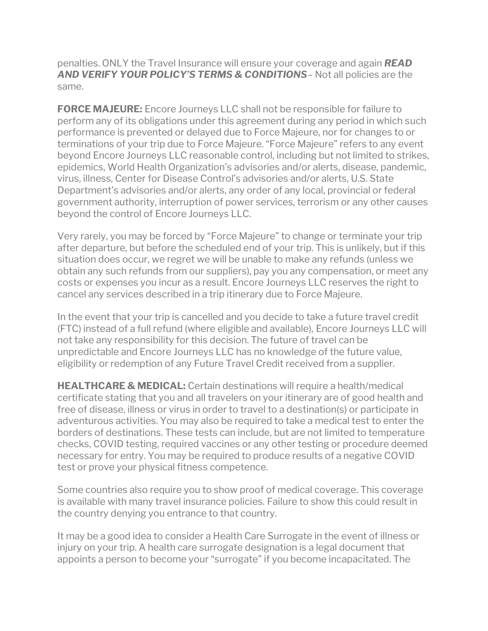penalties. ONLY the Travel Insurance will ensure your coverage and again *READ AND VERIFY YOUR POLICY'S TERMS & CONDITIONS*– Not all policies are the same.

**FORCE MAJEURE:** Encore Journeys LLC shall not be responsible for failure to perform any of its obligations under this agreement during any period in which such performance is prevented or delayed due to Force Majeure, nor for changes to or terminations of your trip due to Force Majeure. "Force Majeure" refers to any event beyond Encore Journeys LLC reasonable control, including but not limited to strikes, epidemics, World Health Organization's advisories and/or alerts, disease, pandemic, virus, illness, Center for Disease Control's advisories and/or alerts, U.S. State Department's advisories and/or alerts, any order of any local, provincial or federal government authority, interruption of power services, terrorism or any other causes beyond the control of Encore Journeys LLC.

Very rarely, you may be forced by "Force Majeure" to change or terminate your trip after departure, but before the scheduled end of your trip. This is unlikely, but if this situation does occur, we regret we will be unable to make any refunds (unless we obtain any such refunds from our suppliers), pay you any compensation, or meet any costs or expenses you incur as a result. Encore Journeys LLC reserves the right to cancel any services described in a trip itinerary due to Force Majeure.

In the event that your trip is cancelled and you decide to take a future travel credit (FTC) instead of a full refund (where eligible and available), Encore Journeys LLC will not take any responsibility for this decision. The future of travel can be unpredictable and Encore Journeys LLC has no knowledge of the future value, eligibility or redemption of any Future Travel Credit received from a supplier.

**HEALTHCARE & MEDICAL:** Certain destinations will require a health/medical certificate stating that you and all travelers on your itinerary are of good health and free of disease, illness or virus in order to travel to a destination(s) or participate in adventurous activities. You may also be required to take a medical test to enter the borders of destinations. These tests can include, but are not limited to temperature checks, COVID testing, required vaccines or any other testing or procedure deemed necessary for entry. You may be required to produce results of a negative COVID test or prove your physical fitness competence.

Some countries also require you to show proof of medical coverage. This coverage is available with many travel insurance policies. Failure to show this could result in the country denying you entrance to that country.

It may be a good idea to consider a Health Care Surrogate in the event of illness or injury on your trip. A health care surrogate designation is a legal document that appoints a person to become your "surrogate" if you become incapacitated. The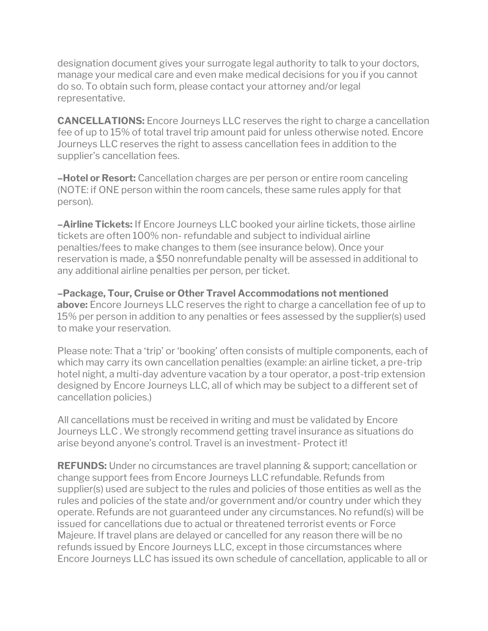designation document gives your surrogate legal authority to talk to your doctors, manage your medical care and even make medical decisions for you if you cannot do so. To obtain such form, please contact your attorney and/or legal representative.

**CANCELLATIONS:** Encore Journeys LLC reserves the right to charge a cancellation fee of up to 15% of total travel trip amount paid for unless otherwise noted. Encore Journeys LLC reserves the right to assess cancellation fees in addition to the supplier's cancellation fees.

**–Hotel or Resort:** Cancellation charges are per person or entire room canceling (NOTE: if ONE person within the room cancels, these same rules apply for that person).

**–Airline Tickets:** If Encore Journeys LLC booked your airline tickets, those airline tickets are often 100% non- refundable and subject to individual airline penalties/fees to make changes to them (see insurance below). Once your reservation is made, a \$50 nonrefundable penalty will be assessed in additional to any additional airline penalties per person, per ticket.

**–Package, Tour, Cruise or Other Travel Accommodations not mentioned above:** Encore Journeys LLC reserves the right to charge a cancellation fee of up to 15% per person in addition to any penalties or fees assessed by the supplier(s) used to make your reservation.

Please note: That a 'trip' or 'booking' often consists of multiple components, each of which may carry its own cancellation penalties (example: an airline ticket, a pre-trip hotel night, a multi-day adventure vacation by a tour operator, a post-trip extension designed by Encore Journeys LLC, all of which may be subject to a different set of cancellation policies.)

All cancellations must be received in writing and must be validated by Encore Journeys LLC . We strongly recommend getting travel insurance as situations do arise beyond anyone's control. Travel is an investment- Protect it!

**REFUNDS:** Under no circumstances are travel planning & support; cancellation or change support fees from Encore Journeys LLC refundable. Refunds from supplier(s) used are subject to the rules and policies of those entities as well as the rules and policies of the state and/or government and/or country under which they operate. Refunds are not guaranteed under any circumstances. No refund(s) will be issued for cancellations due to actual or threatened terrorist events or Force Majeure. If travel plans are delayed or cancelled for any reason there will be no refunds issued by Encore Journeys LLC, except in those circumstances where Encore Journeys LLC has issued its own schedule of cancellation, applicable to all or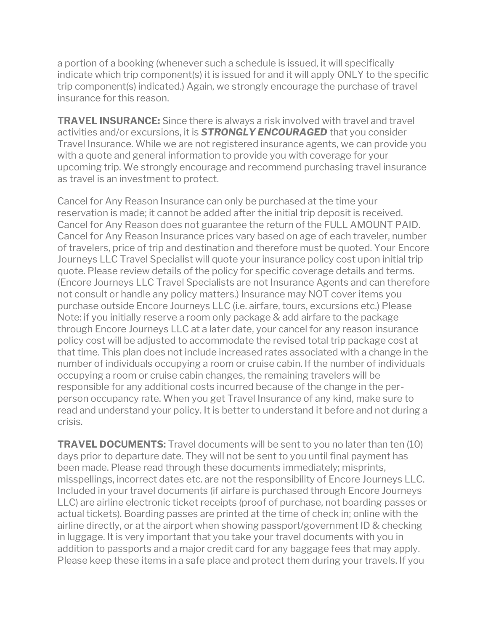a portion of a booking (whenever such a schedule is issued, it will specifically indicate which trip component(s) it is issued for and it will apply ONLY to the specific trip component(s) indicated.) Again, we strongly encourage the purchase of travel insurance for this reason.

**TRAVEL INSURANCE:** Since there is always a risk involved with travel and travel activities and/or excursions, it is *STRONGLY ENCOURAGED* that you consider Travel Insurance. While we are not registered insurance agents, we can provide you with a quote and general information to provide you with coverage for your upcoming trip. We strongly encourage and recommend purchasing travel insurance as travel is an investment to protect.

Cancel for Any Reason Insurance can only be purchased at the time your reservation is made; it cannot be added after the initial trip deposit is received. Cancel for Any Reason does not guarantee the return of the FULL AMOUNT PAID. Cancel for Any Reason Insurance prices vary based on age of each traveler, number of travelers, price of trip and destination and therefore must be quoted. Your Encore Journeys LLC Travel Specialist will quote your insurance policy cost upon initial trip quote. Please review details of the policy for specific coverage details and terms. (Encore Journeys LLC Travel Specialists are not Insurance Agents and can therefore not consult or handle any policy matters.) Insurance may NOT cover items you purchase outside Encore Journeys LLC (i.e. airfare, tours, excursions etc.) Please Note: if you initially reserve a room only package & add airfare to the package through Encore Journeys LLC at a later date, your cancel for any reason insurance policy cost will be adjusted to accommodate the revised total trip package cost at that time. This plan does not include increased rates associated with a change in the number of individuals occupying a room or cruise cabin. If the number of individuals occupying a room or cruise cabin changes, the remaining travelers will be responsible for any additional costs incurred because of the change in the perperson occupancy rate. When you get Travel Insurance of any kind, make sure to read and understand your policy. It is better to understand it before and not during a crisis.

**TRAVEL DOCUMENTS:** Travel documents will be sent to you no later than ten (10) days prior to departure date. They will not be sent to you until final payment has been made. Please read through these documents immediately; misprints, misspellings, incorrect dates etc. are not the responsibility of Encore Journeys LLC. Included in your travel documents (if airfare is purchased through Encore Journeys LLC) are airline electronic ticket receipts (proof of purchase, not boarding passes or actual tickets). Boarding passes are printed at the time of check in; online with the airline directly, or at the airport when showing passport/government ID & checking in luggage. It is very important that you take your travel documents with you in addition to passports and a major credit card for any baggage fees that may apply. Please keep these items in a safe place and protect them during your travels. If you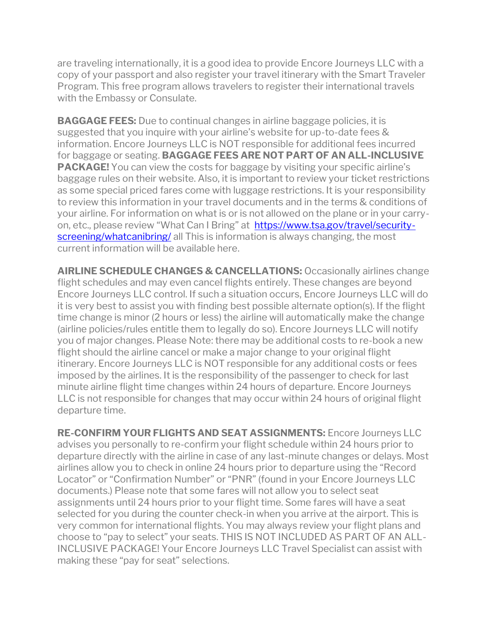are traveling internationally, it is a good idea to provide Encore Journeys LLC with a copy of your passport and also register your travel itinerary with the Smart Traveler Program. This free program allows travelers to register their international travels with the Embassy or Consulate.

**BAGGAGE FEES:** Due to continual changes in airline baggage policies, it is suggested that you inquire with your airline's website for up-to-date fees & information. Encore Journeys LLC is NOT responsible for additional fees incurred for baggage or seating. **BAGGAGE FEES ARE NOT PART OF AN ALL-INCLUSIVE PACKAGE!** You can view the costs for baggage by visiting your specific airline's baggage rules on their website. Also, it is important to review your ticket restrictions as some special priced fares come with luggage restrictions. It is your responsibility to review this information in your travel documents and in the terms & conditions of your airline. For information on what is or is not allowed on the plane or in your carryon, etc., please review "What Can I Bring" at [https://www.tsa.gov/travel/security](https://www.tsa.gov/travel/security-screening/whatcanibring/)[screening/whatcanibring/](https://www.tsa.gov/travel/security-screening/whatcanibring/) all This is information is always changing, the most current information will be available here.

**AIRLINE SCHEDULE CHANGES & CANCELLATIONS:** Occasionally airlines change flight schedules and may even cancel flights entirely. These changes are beyond Encore Journeys LLC control. If such a situation occurs, Encore Journeys LLC will do it is very best to assist you with finding best possible alternate option(s). If the flight time change is minor (2 hours or less) the airline will automatically make the change (airline policies/rules entitle them to legally do so). Encore Journeys LLC will notify you of major changes. Please Note: there may be additional costs to re-book a new flight should the airline cancel or make a major change to your original flight itinerary. Encore Journeys LLC is NOT responsible for any additional costs or fees imposed by the airlines. It is the responsibility of the passenger to check for last minute airline flight time changes within 24 hours of departure. Encore Journeys LLC is not responsible for changes that may occur within 24 hours of original flight departure time.

**RE-CONFIRM YOUR FLIGHTS AND SEAT ASSIGNMENTS:** Encore Journeys LLC advises you personally to re-confirm your flight schedule within 24 hours prior to departure directly with the airline in case of any last-minute changes or delays. Most airlines allow you to check in online 24 hours prior to departure using the "Record Locator" or "Confirmation Number" or "PNR" (found in your Encore Journeys LLC documents.) Please note that some fares will not allow you to select seat assignments until 24 hours prior to your flight time. Some fares will have a seat selected for you during the counter check-in when you arrive at the airport. This is very common for international flights. You may always review your flight plans and choose to "pay to select" your seats. THIS IS NOT INCLUDED AS PART OF AN ALL-INCLUSIVE PACKAGE! Your Encore Journeys LLC Travel Specialist can assist with making these "pay for seat" selections.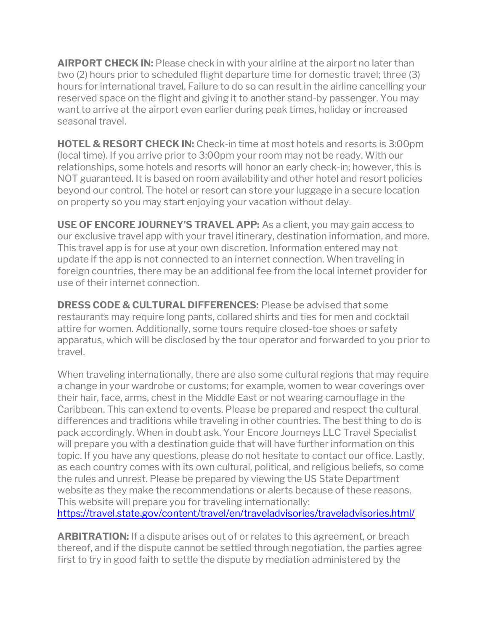**AIRPORT CHECK IN:** Please check in with your airline at the airport no later than two (2) hours prior to scheduled flight departure time for domestic travel; three (3) hours for international travel. Failure to do so can result in the airline cancelling your reserved space on the flight and giving it to another stand-by passenger. You may want to arrive at the airport even earlier during peak times, holiday or increased seasonal travel.

**HOTEL & RESORT CHECK IN:** Check-in time at most hotels and resorts is 3:00pm (local time). If you arrive prior to 3:00pm your room may not be ready. With our relationships, some hotels and resorts will honor an early check-in; however, this is NOT guaranteed. It is based on room availability and other hotel and resort policies beyond our control. The hotel or resort can store your luggage in a secure location on property so you may start enjoying your vacation without delay.

**USE OF ENCORE JOURNEY'S TRAVEL APP:** As a client, you may gain access to our exclusive travel app with your travel itinerary, destination information, and more. This travel app is for use at your own discretion. Information entered may not update if the app is not connected to an internet connection. When traveling in foreign countries, there may be an additional fee from the local internet provider for use of their internet connection.

**DRESS CODE & CULTURAL DIFFERENCES:** Please be advised that some restaurants may require long pants, collared shirts and ties for men and cocktail attire for women. Additionally, some tours require closed-toe shoes or safety apparatus, which will be disclosed by the tour operator and forwarded to you prior to travel.

When traveling internationally, there are also some cultural regions that may require a change in your wardrobe or customs; for example, women to wear coverings over their hair, face, arms, chest in the Middle East or not wearing camouflage in the Caribbean. This can extend to events. Please be prepared and respect the cultural differences and traditions while traveling in other countries. The best thing to do is pack accordingly. When in doubt ask. Your Encore Journeys LLC Travel Specialist will prepare you with a destination guide that will have further information on this topic. If you have any questions, please do not hesitate to contact our office. Lastly, as each country comes with its own cultural, political, and religious beliefs, so come the rules and unrest. Please be prepared by viewing the US State Department website as they make the recommendations or alerts because of these reasons. This website will prepare you for traveling internationally: <https://travel.state.gov/content/travel/en/traveladvisories/traveladvisories.html/>

**ARBITRATION:** If a dispute arises out of or relates to this agreement, or breach thereof, and if the dispute cannot be settled through negotiation, the parties agree first to try in good faith to settle the dispute by mediation administered by the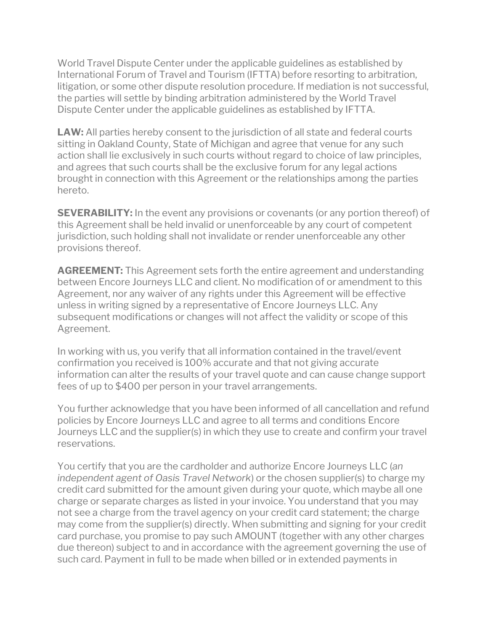World Travel Dispute Center under the applicable guidelines as established by International Forum of Travel and Tourism (IFTTA) before resorting to arbitration, litigation, or some other dispute resolution procedure. If mediation is not successful, the parties will settle by binding arbitration administered by the World Travel Dispute Center under the applicable guidelines as established by IFTTA.

**LAW:** All parties hereby consent to the jurisdiction of all state and federal courts sitting in Oakland County, State of Michigan and agree that venue for any such action shall lie exclusively in such courts without regard to choice of law principles, and agrees that such courts shall be the exclusive forum for any legal actions brought in connection with this Agreement or the relationships among the parties hereto.

**SEVERABILITY:** In the event any provisions or covenants (or any portion thereof) of this Agreement shall be held invalid or unenforceable by any court of competent jurisdiction, such holding shall not invalidate or render unenforceable any other provisions thereof.

**AGREEMENT:** This Agreement sets forth the entire agreement and understanding between Encore Journeys LLC and client. No modification of or amendment to this Agreement, nor any waiver of any rights under this Agreement will be effective unless in writing signed by a representative of Encore Journeys LLC. Any subsequent modifications or changes will not affect the validity or scope of this Agreement.

In working with us, you verify that all information contained in the travel/event confirmation you received is 100% accurate and that not giving accurate information can alter the results of your travel quote and can cause change support fees of up to \$400 per person in your travel arrangements.

You further acknowledge that you have been informed of all cancellation and refund policies by Encore Journeys LLC and agree to all terms and conditions Encore Journeys LLC and the supplier(s) in which they use to create and confirm your travel reservations.

You certify that you are the cardholder and authorize Encore Journeys LLC (*an independent agent of Oasis Travel Network*) or the chosen supplier(s) to charge my credit card submitted for the amount given during your quote, which maybe all one charge or separate charges as listed in your invoice. You understand that you may not see a charge from the travel agency on your credit card statement; the charge may come from the supplier(s) directly. When submitting and signing for your credit card purchase, you promise to pay such AMOUNT (together with any other charges due thereon) subject to and in accordance with the agreement governing the use of such card. Payment in full to be made when billed or in extended payments in